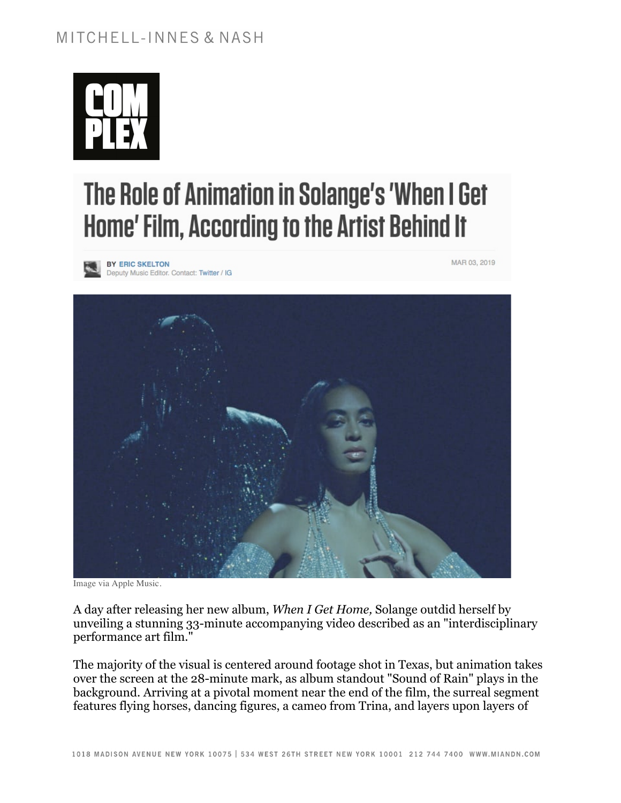# MITCHELL-INNES & NASH



# The Role of Animation in Solange's 'When I Get Home' Film, According to the Artist Behind It

BY ERIC SKELTON Deputy Music Editor. Contact: Twitter / IG MAR 03, 2019



Image via Apple Music.

A day after releasing her new album, *When I Get Home,* Solange outdid herself by unveiling a stunning 33-minute accompanying video described as an "interdisciplinary performance art film."

The majority of the visual is centered around footage shot in Texas, but animation takes over the screen at the 28-minute mark, as album standout "Sound of Rain" plays in the background. Arriving at a pivotal moment near the end of the film, the surreal segment features flying horses, dancing figures, a cameo from Trina, and layers upon layers of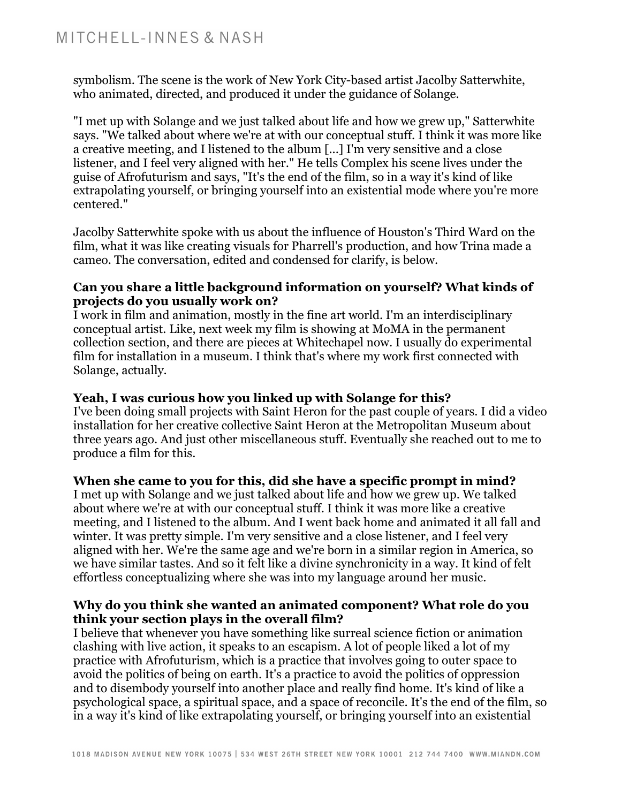symbolism. The scene is the work of New York City-based artist Jacolby Satterwhite, who animated, directed, and produced it under the guidance of Solange.

"I met up with Solange and we just talked about life and how we grew up," Satterwhite says. "We talked about where we're at with our conceptual stuff. I think it was more like a creative meeting, and I listened to the album [...] I'm very sensitive and a close listener, and I feel very aligned with her." He tells Complex his scene lives under the guise of Afrofuturism and says, "It's the end of the film, so in a way it's kind of like extrapolating yourself, or bringing yourself into an existential mode where you're more centered."

Jacolby Satterwhite spoke with us about the influence of Houston's Third Ward on the film, what it was like creating visuals for Pharrell's production, and how Trina made a cameo. The conversation, edited and condensed for clarify, is below.

#### **Can you share a little background information on yourself? What kinds of projects do you usually work on?**

I work in film and animation, mostly in the fine art world. I'm an interdisciplinary conceptual artist. Like, next week my film is showing at MoMA in the permanent collection section, and there are pieces at Whitechapel now. I usually do experimental film for installation in a museum. I think that's where my work first connected with Solange, actually.

## **Yeah, I was curious how you linked up with Solange for this?**

I've been doing small projects with Saint Heron for the past couple of years. I did a video installation for her creative collective Saint Heron at the Metropolitan Museum about three years ago. And just other miscellaneous stuff. Eventually she reached out to me to produce a film for this.

# **When she came to you for this, did she have a specific prompt in mind?**

I met up with Solange and we just talked about life and how we grew up. We talked about where we're at with our conceptual stuff. I think it was more like a creative meeting, and I listened to the album. And I went back home and animated it all fall and winter. It was pretty simple. I'm very sensitive and a close listener, and I feel very aligned with her. We're the same age and we're born in a similar region in America, so we have similar tastes. And so it felt like a divine synchronicity in a way. It kind of felt effortless conceptualizing where she was into my language around her music.

#### **Why do you think she wanted an animated component? What role do you think your section plays in the overall film?**

I believe that whenever you have something like surreal science fiction or animation clashing with live action, it speaks to an escapism. A lot of people liked a lot of my practice with Afrofuturism, which is a practice that involves going to outer space to avoid the politics of being on earth. It's a practice to avoid the politics of oppression and to disembody yourself into another place and really find home. It's kind of like a psychological space, a spiritual space, and a space of reconcile. It's the end of the film, so in a way it's kind of like extrapolating yourself, or bringing yourself into an existential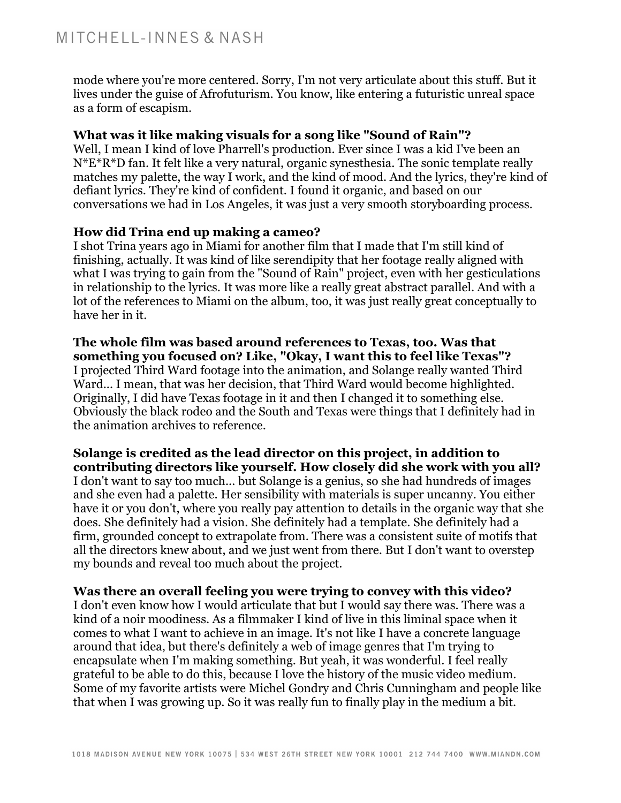mode where you're more centered. Sorry, I'm not very articulate about this stuff. But it lives under the guise of Afrofuturism. You know, like entering a futuristic unreal space as a form of escapism.

## **What was it like making visuals for a song like "Sound of Rain"?**

Well, I mean I kind of love Pharrell's production. Ever since I was a kid I've been an N\*E\*R\*D fan. It felt like a very natural, organic synesthesia. The sonic template really matches my palette, the way I work, and the kind of mood. And the lyrics, they're kind of defiant lyrics. They're kind of confident. I found it organic, and based on our conversations we had in Los Angeles, it was just a very smooth storyboarding process.

# **How did Trina end up making a cameo?**

I shot Trina years ago in Miami for another film that I made that I'm still kind of finishing, actually. It was kind of like serendipity that her footage really aligned with what I was trying to gain from the "Sound of Rain" project, even with her gesticulations in relationship to the lyrics. It was more like a really great abstract parallel. And with a lot of the references to Miami on the album, too, it was just really great conceptually to have her in it.

#### **The whole film was based around references to Texas, too. Was that something you focused on? Like, "Okay, I want this to feel like Texas"?** I projected Third Ward footage into the animation, and Solange really wanted Third Ward... I mean, that was her decision, that Third Ward would become highlighted. Originally, I did have Texas footage in it and then I changed it to something else. Obviously the black rodeo and the South and Texas were things that I definitely had in the animation archives to reference.

**Solange is credited as the lead director on this project, in addition to contributing directors like yourself. How closely did she work with you all?** I don't want to say too much... but Solange is a genius, so she had hundreds of images and she even had a palette. Her sensibility with materials is super uncanny. You either have it or you don't, where you really pay attention to details in the organic way that she does. She definitely had a vision. She definitely had a template. She definitely had a firm, grounded concept to extrapolate from. There was a consistent suite of motifs that all the directors knew about, and we just went from there. But I don't want to overstep my bounds and reveal too much about the project.

#### **Was there an overall feeling you were trying to convey with this video?**

I don't even know how I would articulate that but I would say there was. There was a kind of a noir moodiness. As a filmmaker I kind of live in this liminal space when it comes to what I want to achieve in an image. It's not like I have a concrete language around that idea, but there's definitely a web of image genres that I'm trying to encapsulate when I'm making something. But yeah, it was wonderful. I feel really grateful to be able to do this, because I love the history of the music video medium. Some of my favorite artists were Michel Gondry and Chris Cunningham and people like that when I was growing up. So it was really fun to finally play in the medium a bit.